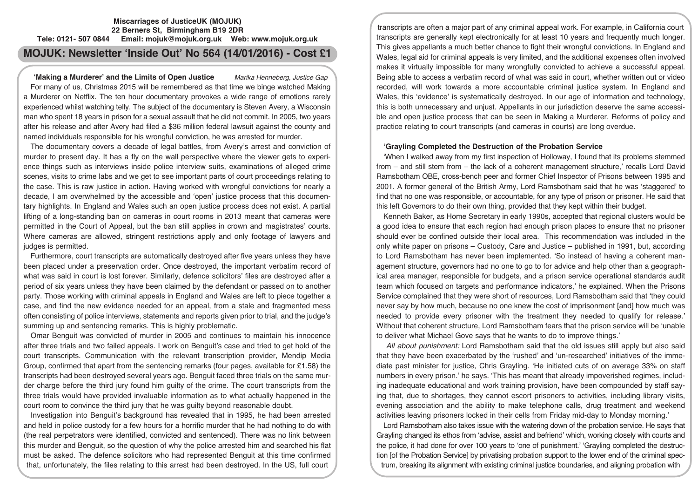#### **Miscarriages of JusticeUK (MOJUK) 22 Berners St, Birmingham B19 2DR Tele: 0121- 507 0844 Email: mojuk@mojuk.org.uk Web: www.mojuk.org.uk**

# **MOJUK: Newsletter 'Inside Out' No 564 (14/01/2016) - Cost £1**

#### **'Making a Murderer' and the Limits of Open Justice** *Marika Henneberg, Justice Gap*

For many of us, Christmas 2015 will be remembered as that time we binge watched Making a Murderer on Netflix. The ten hour documentary provokes a wide range of emotions rarely experienced whilst watching telly. The subject of the documentary is Steven Avery, a Wisconsin man who spent 18 years in prison for a sexual assault that he did not commit. In 2005, two years after his release and after Avery had filed a \$36 million federal lawsuit against the county and named individuals responsible for his wrongful conviction, he was arrested for murder.

The documentary covers a decade of legal battles, from Avery's arrest and conviction of murder to present day. It has a fly on the wall perspective where the viewer gets to experience things such as interviews inside police interview suits, examinations of alleged crime scenes, visits to crime labs and we get to see important parts of court proceedings relating to the case. This is raw justice in action. Having worked with wrongful convictions for nearly a decade, I am overwhelmed by the accessible and 'open' justice process that this documentary highlights. In England and Wales such an open justice process does not exist. A partial lifting of a long-standing ban on cameras in court rooms in 2013 meant that cameras were permitted in the Court of Appeal, but the ban still applies in crown and magistrates' courts. Where cameras are allowed, stringent restrictions apply and only footage of lawyers and judges is permitted.

Furthermore, court transcripts are automatically destroyed after five years unless they have been placed under a preservation order. Once destroyed, the important verbatim record of what was said in court is lost forever. Similarly, defence solicitors' files are destroyed after a period of six years unless they have been claimed by the defendant or passed on to another party. Those working with criminal appeals in England and Wales are left to piece together a case, and find the new evidence needed for an appeal, from a stale and fragmented mess often consisting of police interviews, statements and reports given prior to trial, and the judge's summing up and sentencing remarks. This is highly problematic.

Omar Benguit was convicted of murder in 2005 and continues to maintain his innocence after three trials and two failed appeals. I work on Benguit's case and tried to get hold of the court transcripts. Communication with the relevant transcription provider, Mendip Media Group, confirmed that apart from the sentencing remarks (four pages, available for  $£1.58$ ) the transcripts had been destroyed several years ago. Benguit faced three trials on the same murder charge before the third jury found him guilty of the crime. The court transcripts from the three trials would have provided invaluable information as to what actually happened in the court room to convince the third jury that he was guilty beyond reasonable doubt.

Investigation into Benguit's background has revealed that in 1995, he had been arrested and held in police custody for a few hours for a horrific murder that he had nothing to do with (the real perpetrators were identified, convicted and sentenced). There was no link between this murder and Benguit, so the question of why the police arrested him and searched his flat must be asked. The defence solicitors who had represented Benguit at this time confirmed that, unfortunately, the files relating to this arrest had been destroyed. In the US, full court

transcripts are often a major part of any criminal appeal work. For example, in California court transcripts are generally kept electronically for at least 10 years and frequently much longer. This gives appellants a much better chance to fight their wrongful convictions. In England and Wales, legal aid for criminal appeals is very limited, and the additional expenses often involved makes it virtually impossible for many wrongfully convicted to achieve a successful appeal. Being able to access a verbatim record of what was said in court, whether written out or video recorded, will work towards a more accountable criminal justice system. In England and Wales, this 'evidence' is systematically destroyed. In our age of information and technology, this is both unnecessary and unjust. Appellants in our jurisdiction deserve the same accessible and open justice process that can be seen in Making a Murderer. Reforms of policy and practice relating to court transcripts (and cameras in courts) are long overdue.

### **'Grayling Completed the Destruction of the Probation Service**

'When I walked away from my first inspection of Holloway, I found that its problems stemmed from – and still stem from – the lack of a coherent management structure,' recalls Lord David Ramsbotham OBE, cross-bench peer and former Chief Inspector of Prisons between 1995 and 2001. A former general of the British Army, Lord Ramsbotham said that he was 'staggered' to find that no one was responsible, or accountable, for any type of prison or prisoner. He said that this left Governors to do their own thing, provided that they kept within their budget.

Kenneth Baker, as Home Secretary in early 1990s, accepted that regional clusters would be a good idea to ensure that each region had enough prison places to ensure that no prisoner should ever be confined outside their local area. This recommendation was included in the only white paper on prisons – Custody, Care and Justice – published in 1991, but, according to Lord Ramsbotham has never been implemented. 'So instead of having a coherent management structure, governors had no one to go to for advice and help other than a geographical area manager, responsible for budgets, and a prison service operational standards audit team which focused on targets and performance indicators,' he explained. When the Prisons Service complained that they were short of resources, Lord Ramsbotham said that 'they could never say by how much, because no one knew the cost of imprisonment [and] how much was needed to provide every prisoner with the treatment they needed to qualify for release.' Without that coherent structure, Lord Ramsbotham fears that the prison service will be 'unable to deliver what Michael Gove says that he wants to do to improve things.'

*All about punishment:* Lord Ramsbotham said that the old issues still apply but also said that they have been exacerbated by the 'rushed' and 'un-researched' initiatives of the immediate past minister for justice, Chris Grayling. 'He initiated cuts of on average 33% on staff numbers in every prison.' he says. 'This has meant that already impoverished regimes, including inadequate educational and work training provision, have been compounded by staff saying that, due to shortages, they cannot escort prisoners to activities, including library visits, evening association and the ability to make telephone calls, drug treatment and weekend activities leaving prisoners locked in their cells from Friday mid-day to Monday morning.'

Lord Ramsbotham also takes issue with the watering down of the probation service. He says that Grayling changed its ethos from 'advise, assist and befriend' which, working closely with courts and the police, it had done for over 100 years to 'one of punishment.' 'Grayling completed the destruction [of the Probation Service] by privatising probation support to the lower end of the criminal spectrum, breaking its alignment with existing criminal justice boundaries, and aligning probation with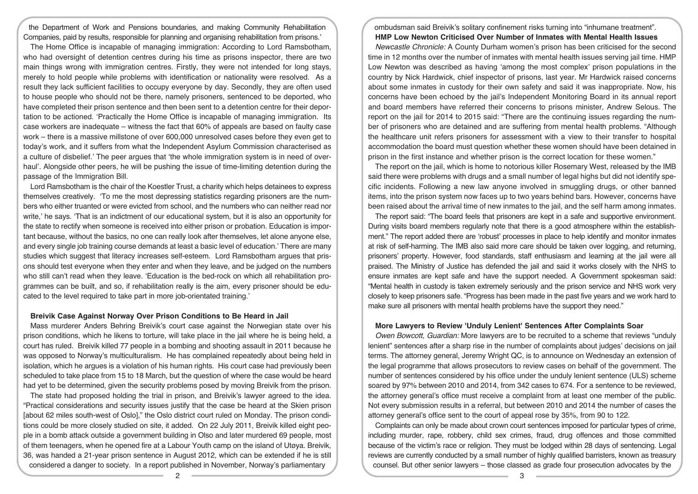the Department of Work and Pensions boundaries, and making Community Rehabilitation Companies, paid by results, responsible for planning and organising rehabilitation from prisons.'

The Home Office is incapable of managing immigration: According to Lord Ramsbotham, who had oversight of detention centres during his time as prisons inspector, there are two main things wrong with immigration centres. Firstly, they were not intended for long stays, merely to hold people while problems with identification or nationality were resolved. As a result they lack sufficient facilities to occupy everyone by day. Secondly, they are often used to house people who should not be there, namely prisoners, sentenced to be deported, who have completed their prison sentence and then been sent to a detention centre for their deportation to be actioned. 'Practically the Home Office is incapable of managing immigration. Its case workers are inadequate – witness the fact that 60% of appeals are based on faulty case work – there is a massive millstone of over 600,000 unresolved cases before they even get to today's work, and it suffers from what the Independent Asylum Commission characterised as a culture of disbelief.' The peer argues that 'the whole immigration system is in need of overhaul'. Alongside other peers, he will be pushing the issue of time-limiting detention during the passage of the Immigration Bill.

Lord Ramsbotham is the chair of the Koestler Trust, a charity which helps detainees to express themselves creatively. 'To me the most depressing statistics regarding prisoners are the numbers who either truanted or were evicted from school, and the numbers who can neither read nor write,' he says. 'That is an indictment of our educational system, but it is also an opportunity for the state to rectify when someone is received into either prison or probation. Education is important because, without the basics, no one can really look after themselves, let alone anyone else, and every single job training course demands at least a basic level of education.' There are many studies which suggest that literacy increases self-esteem. Lord Ramsbotham argues that prisons should test everyone when they enter and when they leave, and be judged on the numbers who still can't read when they leave. 'Education is the bed-rock on which all rehabilitation programmes can be built, and so, if rehabilitation really is the aim, every prisoner should be educated to the level required to take part in more job-orientated training.'

# **Breivik Case Against Norway Over Prison Conditions to Be Heard in Jail**

Mass murderer Anders Behring Breivik's court case against the Norwegian state over his prison conditions, which he likens to torture, will take place in the jail where he is being held, a court has ruled. Breivik killed 77 people in a bombing and shooting assault in 2011 because he was opposed to Norway's multiculturalism. He has complained repeatedly about being held in isolation, which he argues is a violation of his human rights. His court case had previously been scheduled to take place from 15 to 18 March, but the question of where the case would be heard had yet to be determined, given the security problems posed by moving Breivik from the prison.

The state had proposed holding the trial in prison, and Breivik's lawyer agreed to the idea. "Practical considerations and security issues justify that the case be heard at the Skien prison [about 62 miles south-west of Oslo]," the Oslo district court ruled on Monday. The prison conditions could be more closely studied on site, it added. On 22 July 2011, Breivik killed eight people in a bomb attack outside a government building in Olso and later murdered 69 people, most of them teenagers, when he opened fire at a Labour Youth camp on the island of Utøya. Breivik, 36, was handed a 21-year prison sentence in August 2012, which can be extended if he is still considered a danger to society. In a report published in November, Norway's parliamentary

# ombudsman said Breivik's solitary confinement risks turning into "inhumane treatment". **HMP Low Newton Criticised Over Number of Inmates with Mental Health Issues**

*Newcastle Chronicle:* A County Durham women's prison has been criticised for the second time in 12 months over the number of inmates with mental health issues serving jail time. HMP Low Newton was described as having 'among the most complex' prison populations in the country by Nick Hardwick, chief inspector of prisons, last year. Mr Hardwick raised concerns about some inmates in custody for their own safety and said it was inappropriate. Now, his concerns have been echoed by the jail's Independent Monitoring Board in its annual report and board members have referred their concerns to prisons minister, Andrew Selous. The report on the jail for 2014 to 2015 said: "There are the continuing issues regarding the number of prisoners who are detained and are suffering from mental health problems. "Although the healthcare unit refers prisoners for assessment with a view to their transfer to hospital accommodation the board must question whether these women should have been detained in prison in the first instance and whether prison is the correct location for these women."

The report on the jail, which is home to notorious killer Rosemary West, released by the IMB said there were problems with drugs and a small number of legal highs but did not identify specific incidents. Following a new law anyone involved in smuggling drugs, or other banned items, into the prison system now faces up to two years behind bars. However, concerns have been raised about the arrival time of new inmates to the jail, and the self harm among inmates.

The report said: "The board feels that prisoners are kept in a safe and supportive environment. During visits board members regularly note that there is a good atmosphere within the establishment." The report added there are 'robust' processes in place to help identify and monitor inmates at risk of self-harming. The IMB also said more care should be taken over logging, and returning, prisoners' property. However, food standards, staff enthusiasm and learning at the jail were all praised. The Ministry of Justice has defended the jail and said it works closely with the NHS to ensure inmates are kept safe and have the support needed. A Government spokesman said: "Mental health in custody is taken extremely seriously and the prison service and NHS work very closely to keep prisoners safe. "Progress has been made in the past five years and we work hard to make sure all prisoners with mental health problems have the support they need."

#### **More Lawyers to Review 'Unduly Lenient' Sentences After Complaints Soar**

*Owen Bowcott, Guardian:* More lawyers are to be recruited to a scheme that reviews "unduly lenient" sentences after a sharp rise in the number of complaints about judges' decisions on jail terms. The attorney general, Jeremy Wright QC, is to announce on Wednesday an extension of the legal programme that allows prosecutors to review cases on behalf of the government. The number of sentences considered by his office under the unduly lenient sentence (ULS) scheme soared by 97% between 2010 and 2014, from 342 cases to 674. For a sentence to be reviewed, the attorney general's office must receive a complaint from at least one member of the public. Not every submission results in a referral, but between 2010 and 2014 the number of cases the attorney general's office sent to the court of appeal rose by 35%, from 90 to 122.

Complaints can only be made about crown court sentences imposed for particular types of crime, including murder, rape, robbery, child sex crimes, fraud, drug offences and those committed because of the victim's race or religion. They must be lodged within 28 days of sentencing. Legal reviews are currently conducted by a small number of highly qualified barristers, known as treasury counsel. But other senior lawyers – those classed as grade four prosecution advocates by the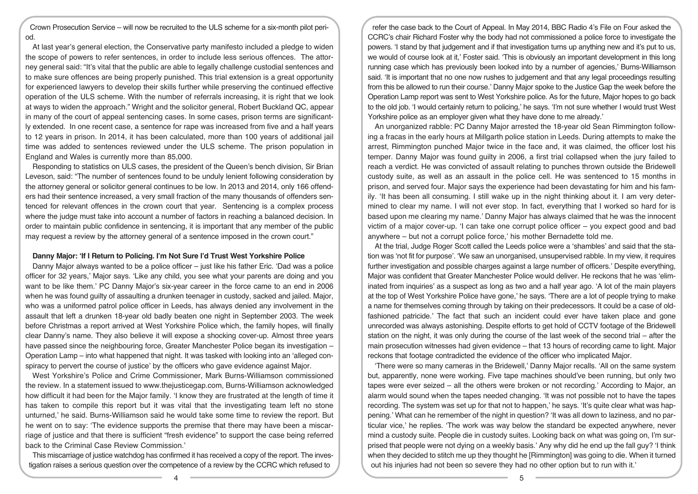Crown Prosecution Service – will now be recruited to the ULS scheme for a six-month pilot period.

At last year's general election, the Conservative party manifesto included a pledge to widen the scope of powers to refer sentences, in order to include less serious offences. The attorney general said: "It's vital that the public are able to legally challenge custodial sentences and to make sure offences are being properly punished. This trial extension is a great opportunity for experienced lawyers to develop their skills further while preserving the continued effective operation of the ULS scheme. With the number of referrals increasing, it is right that we look at ways to widen the approach." Wright and the solicitor general, Robert Buckland QC, appear in many of the court of appeal sentencing cases. In some cases, prison terms are significantly extended. In one recent case, a sentence for rape was increased from five and a half years to 12 years in prison. In 2014, it has been calculated, more than 100 years of additional jail time was added to sentences reviewed under the ULS scheme. The prison population in England and Wales is currently more than 85,000.

Responding to statistics on ULS cases, the president of the Queen's bench division, Sir Brian Leveson, said: "The number of sentences found to be unduly lenient following consideration by the attorney general or solicitor general continues to be low. In 2013 and 2014, only 166 offenders had their sentence increased, a very small fraction of the many thousands of offenders sentenced for relevant offences in the crown court that year. Sentencing is a complex process where the judge must take into account a number of factors in reaching a balanced decision. In order to maintain public confidence in sentencing, it is important that any member of the public may request a review by the attorney general of a sentence imposed in the crown court."

### **Danny Major: 'If I Return to Policing. I'm Not Sure I'd Trust West Yorkshire Police**

Danny Major always wanted to be a police officer – just like his father Eric. 'Dad was a police officer for 32 years,' Major says. 'Like any child, you see what your parents are doing and you want to be like them.' PC Danny Major's six-year career in the force came to an end in 2006 when he was found guilty of assaulting a drunken teenager in custody, sacked and jailed. Major, who was a uniformed patrol police officer in Leeds, has always denied any involvement in the assault that left a drunken 18-year old badly beaten one night in September 2003. The week before Christmas a report arrived at West Yorkshire Police which, the family hopes, will finally clear Danny's name. They also believe it will expose a shocking cover-up. Almost three years have passed since the neighbouring force, Greater Manchester Police began its investigation -Operation Lamp – into what happened that night. It was tasked with looking into an 'alleged conspiracy to pervert the course of justice' by the officers who gave evidence against Major.

West Yorkshire's Police and Crime Commissioner, Mark Burns-Williamson commissioned the review. In a statement issued to www.thejusticegap.com, Burns-Williamson acknowledged how difficult it had been for the Major family. 'I know they are frustrated at the length of time it has taken to compile this report but it was vital that the investigating team left no stone unturned,' he said. Burns-Williamson said he would take some time to review the report. But he went on to say: 'The evidence supports the premise that there may have been a miscarriage of justice and that there is sufficient "fresh evidence" to support the case being referred back to the Criminal Case Review Commission.'

This miscarriage of justice watchdog has confirmed it has received a copy of the report. The investigation raises a serious question over the competence of a review by the CCRC which refused to

refer the case back to the Court of Appeal. In May 2014, BBC Radio 4's File on Four asked the CCRC's chair Richard Foster why the body had not commissioned a police force to investigate the powers. 'I stand by that judgement and if that investigation turns up anything new and it's put to us, we would of course look at it,' Foster said. 'This is obviously an important development in this long running case which has previously been looked into by a number of agencies,' Burns-Williamson said. 'It is important that no one now rushes to judgement and that any legal proceedings resulting from this be allowed to run their course.' Danny Major spoke to the Justice Gap the week before the Operation Lamp report was sent to West Yorkshire police. As for the future, Major hopes to go back to the old job. 'I would certainly return to policing,' he says. 'I'm not sure whether I would trust West Yorkshire police as an employer given what they have done to me already.'

An unorganized rabble: PC Danny Major arrested the 18-year old Sean Rimmington following a fracas in the early hours at Millgarth police station in Leeds. During attempts to make the arrest, Rimmington punched Major twice in the face and, it was claimed, the officer lost his temper. Danny Major was found guilty in 2006, a first trial collapsed when the jury failed to reach a verdict. He was convicted of assault relating to punches thrown outside the Bridewell custody suite, as well as an assault in the police cell. He was sentenced to 15 months in prison, and served four. Major says the experience had been devastating for him and his family. 'It has been all consuming. I still wake up in the night thinking about it. I am very determined to clear my name. I will not ever stop. In fact, everything that I worked so hard for is based upon me clearing my name.' Danny Major has always claimed that he was the innocent victim of a major cover-up. 'I can take one corrupt police officer – you expect good and bad anywhere – but not a corrupt police force,' his mother Bernadette told me.

At the trial, Judge Roger Scott called the Leeds police were a 'shambles' and said that the station was 'not fit for purpose'. 'We saw an unorganised, unsupervised rabble. In my view, it requires further investigation and possible charges against a large number of officers.' Despite everything, Major was confident that Greater Manchester Police would deliver. He reckons that he was 'eliminated from inquiries' as a suspect as long as two and a half year ago. 'A lot of the main players at the top of West Yorkshire Police have gone,' he says. 'There are a lot of people trying to make a name for themselves coming through by taking on their predecessors. It could be a case of oldfashioned patricide.' The fact that such an incident could ever have taken place and gone unrecorded was always astonishing. Despite efforts to get hold of CCTV footage of the Bridewell station on the night, it was only during the course of the last week of the second trial – after the main prosecution witnesses had given evidence – that 13 hours of recording came to light. Major reckons that footage contradicted the evidence of the officer who implicated Major.

'There were so many cameras in the Bridewell,' Danny Major recalls. 'All on the same system but, apparently, none were working. Five tape machines should've been running, but only two tapes were ever seized – all the others were broken or not recording.' According to Major, an alarm would sound when the tapes needed changing. 'It was not possible not to have the tapes recording. The system was set up for that not to happen,' he says. 'It's quite clear what was happening.' What can he remember of the night in question? 'It was all down to laziness, and no particular vice,' he replies. 'The work was way below the standard be expected anywhere, never mind a custody suite. People die in custody suites. Looking back on what was going on, I'm surprised that people were not dying on a weekly basis.' Any why did he end up the fall guy? 'I think when they decided to stitch me up they thought he [Rimmington] was going to die. When it turned out his injuries had not been so severe they had no other option but to run with it.'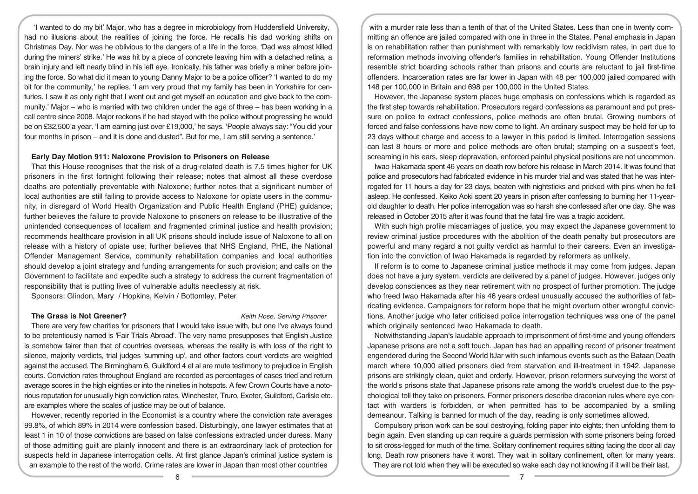'I wanted to do my bit' Major, who has a degree in microbiology from Huddersfield University, had no illusions about the realities of joining the force. He recalls his dad working shifts on Christmas Day. Nor was he oblivious to the dangers of a life in the force. 'Dad was almost killed during the miners' strike.' He was hit by a piece of concrete leaving him with a detached retina, a brain injury and left nearly blind in his left eye. Ironically, his father was briefly a miner before joining the force. So what did it mean to young Danny Major to be a police officer? 'I wanted to do my bit for the community,' he replies. 'I am very proud that my family has been in Yorkshire for centuries. I saw it as only right that I went out and get myself an education and give back to the community.' Major – who is married with two children under the age of three – has been working in a call centre since 2008. Major reckons if he had stayed with the police without progressing he would be on £32,500 a year. 'I am earning just over £19,000,' he says. 'People always say: "You did your four months in prison – and it is done and dusted". But for me, I am still serving a sentence.'

### **Early Day Motion 911: Naloxone Provision to Prisoners on Release**

That this House recognises that the risk of a drug-related death is 7.5 times higher for UK prisoners in the first fortnight following their release; notes that almost all these overdose deaths are potentially preventable with Naloxone; further notes that a significant number of local authorities are still failing to provide access to Naloxone for opiate users in the community, in disregard of World Health Organization and Public Health England (PHE) guidance; further believes the failure to provide Naloxone to prisoners on release to be illustrative of the unintended consequences of localism and fragmented criminal justice and health provision; recommends healthcare provision in all UK prisons should include issue of Naloxone to all on release with a history of opiate use; further believes that NHS England, PHE, the National Offender Management Service, community rehabilitation companies and local authorities should develop a joint strategy and funding arrangements for such provision; and calls on the Government to facilitate and expedite such a strategy to address the current fragmentation of responsibility that is putting lives of vulnerable adults needlessly at risk.

Sponsors: Glindon, Mary / Hopkins, Kelvin / Bottomley, Peter

#### **The Grass is Not Greener?** *Keith Rose, Serving Prisoner*

There are very few charities for prisoners that I would take issue with, but one I've always found to be pretentiously named is 'Fair Trials Abroad'. The very name presupposes that English Justice is somehow fairer than that of countries overseas, whereas the reality is with loss of the right to silence, majority verdicts, trial judges 'summing up', and other factors court verdicts are weighted against the accused. The Birmingham 6, Guildford 4 et al are mute testimony to prejudice in English courts. Conviction rates throughout England are recorded as percentages of cases tried and return average scores in the high eighties or into the nineties in hotspots. A few Crown Courts have a notorious reputation for unusually high conviction rates, Winchester, Truro, Exeter, Guildford, Carlisle etc. are examples where the scales of justice may be out of balance.

However, recently reported in the Economist is a country where the conviction rate averages 99.8%, of which 89% in 2014 were confession based. Disturbingly, one lawyer estimates that at least 1 in 10 of those convictions are based on false confessions extracted under duress. Many of those admitting guilt are plainly innocent and there is an extraordinary lack of protection for suspects held in Japanese interrogation cells. At first glance Japan's criminal justice system is an example to the rest of the world. Crime rates are lower in Japan than most other countries

with a murder rate less than a tenth of that of the United States. Less than one in twenty committing an offence are jailed compared with one in three in the States. Penal emphasis in Japan is on rehabilitation rather than punishment with remarkably low recidivism rates, in part due to reformation methods involving offender's families in rehabilitation. Young Offender Institutions resemble strict boarding schools rather than prisons and courts are reluctant to jail first-time offenders. Incarceration rates are far lower in Japan with 48 per 100,000 jailed compared with 148 per 100,000 in Britain and 698 per 100,000 in the United States.

However, the Japanese system places huge emphasis on confessions which is regarded as the first step towards rehabilitation. Prosecutors regard confessions as paramount and put pressure on police to extract confessions, police methods are often brutal. Growing numbers of forced and false confessions have now come to light. An ordinary suspect may be held for up to 23 days without charge and access to a lawyer in this period is limited. Interrogation sessions can last 8 hours or more and police methods are often brutal; stamping on a suspect's feet, screaming in his ears, sleep depravation, enforced painful physical positions are not uncommon.

Iwao Hakamada spent 46 years on death row before his release in March 2014. It was found that police and prosecutors had fabricated evidence in his murder trial and was stated that he was interrogated for 11 hours a day for 23 days, beaten with nightsticks and pricked with pins when he fell asleep. He confessed. Keiko Aoki spent 20 years in prison after confessing to burning her 11-yearold daughter to death. Her police interrogation was so harsh she confessed after one day. She was released in October 2015 after it was found that the fatal fire was a tragic accident.

With such high profile miscarriages of justice, you may expect the Japanese government to review criminal justice procedures with the abolition of the death penalty but prosecutors are powerful and many regard a not guilty verdict as harmful to their careers. Even an investigation into the conviction of Iwao Hakamada is regarded by reformers as unlikely.

If reform is to come to Japanese criminal justice methods it may come from judges. Japan does not have a jury system, verdicts are delivered by a panel of judges. However, judges only develop consciences as they near retirement with no prospect of further promotion. The judge who freed Iwao Hakamada after his 46 years ordeal unusually accused the authorities of fabricating evidence. Campaigners for reform hope that he might overturn other wrongful convictions. Another judge who later criticised police interrogation techniques was one of the panel which originally sentenced Iwao Hakamada to death.

Notwithstanding Japan's laudable approach to imprisonment of first-time and young offenders Japanese prisons are not a soft touch. Japan has had an appalling record of prisoner treatment engendered during the Second World ltJar with such infamous events such as the Bataan Death march where 10,000 allied prisoners died from starvation and ill-treatment in 1942. Japanese prisons are strikingly clean, quiet and orderly. However, prison reformers surveying the worst of the world's prisons state that Japanese prisons rate among the world's cruelest due to the psychological toll they take on prisoners. Former prisoners describe draconian rules where eye contact with warders is forbidden, or when permitted has to be accompanied by a smiling demeanour. Talking is banned for much of the day, reading is only sometimes allowed.

Compulsory prison work can be soul destroying, folding paper into eights; then unfolding them to begin again. Even standing up can require a guards permission with some prisoners being forced to sit cross-legged for much of the time. Solitary confinement requires sitting facing the door all day long. Death row prisoners have it worst. They wait in solitary confinement, often for many years. They are not told when they will be executed so wake each day not knowing if it will be their last.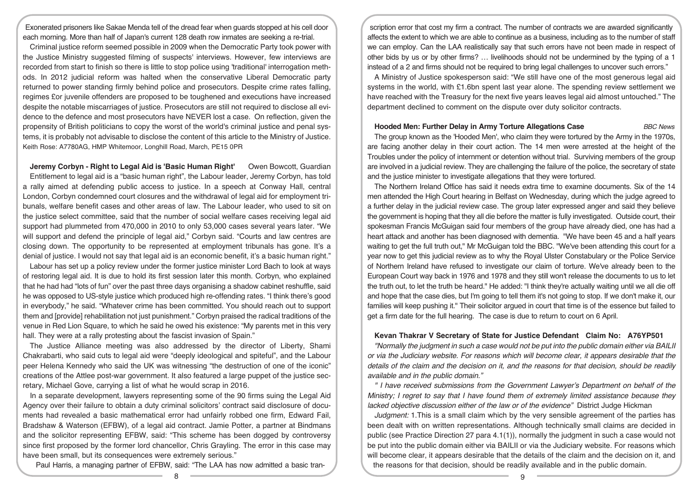Exonerated prisoners like Sakae Menda tell of the dread fear when guards stopped at his cell door each morning. More than half of Japan's current 128 death row inmates are seeking a re-trial.

Criminal justice reform seemed possible in 2009 when the Democratic Party took power with the Justice Ministry suggested filming of suspects' interviews. However, few interviews are recorded from start to finish so there is little to stop police using 'traditional' interrogation methods. In 2012 judicial reform was halted when the conservative Liberal Democratic party returned to power standing firmly behind police and prosecutors. Despite crime rates falling, regimes £or juvenile offenders are proposed to be toughened and executions have increased despite the notable miscarriages of justice. Prosecutors are still not required to disclose all evidence to the defence and most prosecutors have NEVER lost a case. On reflection, given the propensity of British politicians to copy the worst of the world's criminal justice and penal systems, it is probably not advisable to disclose the content of this article to the Ministry of Justice. Keith Rose: A7780AG, HMP Whitemoor, Longhill Road, March, PE15 0PR

**Jeremy Corbyn - Right to Legal Aid is 'Basic Human Right'** Owen Bowcott, Guardian Entitlement to legal aid is a "basic human right", the Labour leader, Jeremy Corbyn, has told a rally aimed at defending public access to justice. In a speech at Conway Hall, central London, Corbyn condemned court closures and the withdrawal of legal aid for employment tribunals, welfare benefit cases and other areas of law. The Labour leader, who used to sit on the justice select committee, said that the number of social welfare cases receiving legal aid support had plummeted from 470,000 in 2010 to only 53,000 cases several years later. "We will support and defend the principle of legal aid," Corbyn said. "Courts and law centres are closing down. The opportunity to be represented at employment tribunals has gone. It's a denial of justice. I would not say that legal aid is an economic benefit, it's a basic human right."

Labour has set up a policy review under the former justice minister Lord Bach to look at ways of restoring legal aid. It is due to hold its first session later this month. Corbyn, who explained that he had had "lots of fun" over the past three days organising a shadow cabinet reshuffle, said he was opposed to US-style justice which produced high re-offending rates. "I think there's good in everybody," he said. "Whatever crime has been committed. You should reach out to support them and [provide] rehabilitation not just punishment." Corbyn praised the radical traditions of the venue in Red Lion Square, to which he said he owed his existence: "My parents met in this very hall. They were at a rally protesting about the fascist invasion of Spain."

The Justice Alliance meeting was also addressed by the director of Liberty, Shami Chakrabarti, who said cuts to legal aid were "deeply ideological and spiteful", and the Labour peer Helena Kennedy who said the UK was witnessing "the destruction of one of the iconic" creations of the Attlee post-war government. It also featured a large puppet of the justice secretary, Michael Gove, carrying a list of what he would scrap in 2016.

In a separate development, lawyers representing some of the 90 firms suing the Legal Aid Agency over their failure to obtain a duty criminal solicitors' contract said disclosure of documents had revealed a basic mathematical error had unfairly robbed one firm, Edward Fail, Bradshaw & Waterson (EFBW), of a legal aid contract. Jamie Potter, a partner at Bindmans and the solicitor representing EFBW, said: "This scheme has been dogged by controversy since first proposed by the former lord chancellor, Chris Grayling. The error in this case may have been small, but its consequences were extremely serious."

Paul Harris, a managing partner of EFBW, said: "The LAA has now admitted a basic tran-

scription error that cost my firm a contract. The number of contracts we are awarded significantly affects the extent to which we are able to continue as a business, including as to the number of staff we can employ. Can the LAA realistically say that such errors have not been made in respect of other bids by us or by other firms? … livelihoods should not be undermined by the typing of a 1 instead of a 2 and firms should not be required to bring legal challenges to uncover such errors."

A Ministry of Justice spokesperson said: "We still have one of the most generous legal aid systems in the world, with £1.6bn spent last year alone. The spending review settlement we have reached with the Treasury for the next five years leaves legal aid almost untouched." The department declined to comment on the dispute over duty solicitor contracts.

### **Hooded Men: Further Delay in Army Torture Allegations Case** *BBC News*

The group known as the 'Hooded Men', who claim they were tortured by the Army in the 1970s, are facing another delay in their court action. The 14 men were arrested at the height of the Troubles under the policy of internment or detention without trial. Surviving members of the group are involved in a judicial review. They are challenging the failure of the police, the secretary of state and the justice minister to investigate allegations that they were tortured.

The Northern Ireland Office has said it needs extra time to examine documents. Six of the 14 men attended the High Court hearing in Belfast on Wednesday, during which the judge agreed to a further delay in the judicial review case. The group later expressed anger and said they believe the government is hoping that they all die before the matter is fully investigated. Outside court, their spokesman Francis McGuigan said four members of the group have already died, one has had a heart attack and another has been diagnosed with dementia. "We have been 45 and a half years waiting to get the full truth out," Mr McGuigan told the BBC. "We've been attending this court for a year now to get this judicial review as to why the Royal Ulster Constabulary or the Police Service of Northern Ireland have refused to investigate our claim of torture. We've already been to the European Court way back in 1976 and 1978 and they still won't release the documents to us to let the truth out, to let the truth be heard." He added: "I think they're actually waiting until we all die off and hope that the case dies, but I'm going to tell them it's not going to stop. If we don't make it, our families will keep pushing it." Their solicitor argued in court that time is of the essence but failed to get a firm date for the full hearing. The case is due to return to court on 6 April.

#### **Kevan Thakrar V Secretary of State for Justice Defendant Claim No: A76YP501**

*"Normally the judgment in such a case would not be put into the public domain either via BAILII or via the Judiciary website. For reasons which will become clear, it appears desirable that the details of the claim and the decision on it, and the reasons for that decision, should be readily available and in the public domain."*

*" I have received submissions from the Government Lawyer's Department on behalf of the Ministry; I regret to say that I have found them of extremely limited assistance because they lacked objective discussion either of the law or of the evidence"* District Judge Hickman

*Judgment:* 1.This is a small claim which by the very sensible agreement of the parties has been dealt with on written representations. Although technically small claims are decided in public (see Practice Direction 27 para 4.1(1)), normally the judgment in such a case would not be put into the public domain either via BAILII or via the Judiciary website. For reasons which will become clear, it appears desirable that the details of the claim and the decision on it, and the reasons for that decision, should be readily available and in the public domain.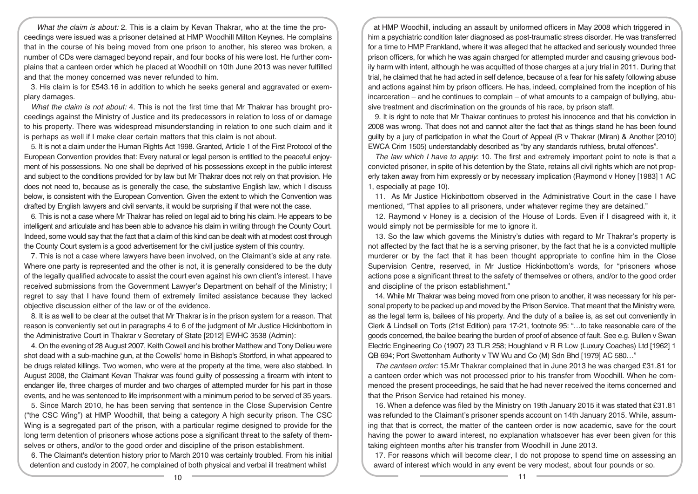*What the claim is about:* 2. This is a claim by Kevan Thakrar, who at the time the proceedings were issued was a prisoner detained at HMP Woodhill Milton Keynes. He complains that in the course of his being moved from one prison to another, his stereo was broken, a number of CDs were damaged beyond repair, and four books of his were lost. He further complains that a canteen order which he placed at Woodhill on 10th June 2013 was never fulfilled and that the money concerned was never refunded to him.

3. His claim is for £543.16 in addition to which he seeks general and aggravated or exemplary damages.

*What the claim is not about:* 4. This is not the first time that Mr Thakrar has brought proceedings against the Ministry of Justice and its predecessors in relation to loss of or damage to his property. There was widespread misunderstanding in relation to one such claim and it is perhaps as well if I make clear certain matters that this claim is not about.

5. It is not a claim under the Human Rights Act 1998. Granted, Article 1 of the First Protocol of the European Convention provides that: Every natural or legal person is entitled to the peaceful enjoyment of his possessions. No one shall be deprived of his possessions except in the public interest and subject to the conditions provided for by law but Mr Thakrar does not rely on that provision. He does not need to, because as is generally the case, the substantive English law, which I discuss below, is consistent with the European Convention. Given the extent to which the Convention was drafted by English lawyers and civil servants, it would be surprising if that were not the case.

6. This is not a case where Mr Thakrar has relied on legal aid to bring his claim. He appears to be intelligent and articulate and has been able to advance his claim in writing through the County Court. Indeed, some would say that the fact that a claim of this kind can be dealt with at modest cost through the County Court system is a good advertisement for the civil justice system of this country.

7. This is not a case where lawyers have been involved, on the Claimant's side at any rate. Where one party is represented and the other is not, it is generally considered to be the duty of the legally qualified advocate to assist the court even against his own client's interest. I have received submissions from the Government Lawyer's Department on behalf of the Ministry; I regret to say that I have found them of extremely limited assistance because they lacked objective discussion either of the law or of the evidence.

8. It is as well to be clear at the outset that Mr Thakrar is in the prison system for a reason. That reason is conveniently set out in paragraphs 4 to 6 of the judgment of Mr Justice Hickinbottom in the Administrative Court in Thakrar v Secretary of State [2012] EWHC 3538 (Admin):

4. On the evening of 28 August 2007, Keith Cowell and his brother Matthew and Tony Delieu were shot dead with a sub-machine gun, at the Cowells' home in Bishop's Stortford, in what appeared to be drugs related killings. Two women, who were at the property at the time, were also stabbed. In August 2008, the Claimant Kevan Thakrar was found guilty of possessing a firearm with intent to endanger life, three charges of murder and two charges of attempted murder for his part in those events, and he was sentenced to life imprisonment with a minimum period to be served of 35 years.

5. Since March 2010, he has been serving that sentence in the Close Supervision Centre ("the CSC Wing") at HMP Woodhill, that being a category A high security prison. The CSC Wing is a segregated part of the prison, with a particular regime designed to provide for the long term detention of prisoners whose actions pose a significant threat to the safety of themselves or others, and/or to the good order and discipline of the prison establishment.

6. The Claimant's detention history prior to March 2010 was certainly troubled. From his initial detention and custody in 2007, he complained of both physical and verbal ill treatment whilst

at HMP Woodhill, including an assault by uniformed officers in May 2008 which triggered in him a psychiatric condition later diagnosed as post-traumatic stress disorder. He was transferred for a time to HMP Frankland, where it was alleged that he attacked and seriously wounded three prison officers, for which he was again charged for attempted murder and causing grievous bodily harm with intent, although he was acquitted of those charges at a jury trial in 2011. During that trial, he claimed that he had acted in self defence, because of a fear for his safety following abuse and actions against him by prison officers. He has, indeed, complained from the inception of his incarceration – and he continues to complain – of what amounts to a campaign of bullying, abusive treatment and discrimination on the grounds of his race, by prison staff.

9. It is right to note that Mr Thakrar continues to protest his innocence and that his conviction in 2008 was wrong. That does not and cannot alter the fact that as things stand he has been found guilty by a jury of participation in what the Court of Appeal (R v Thakrar (Miran) & Another [2010] EWCA Crim 1505) understandably described as "by any standards ruthless, brutal offences".

*The law which I have to apply*: 10. The first and extremely important point to note is that a convicted prisoner, in spite of his detention by the State, retains all civil rights which are not properly taken away from him expressly or by necessary implication (Raymond v Honey [1983] 1 AC 1, especially at page 10).

11. As Mr Justice Hickinbottom observed in the Administrative Court in the case I have mentioned, "That applies to all prisoners, under whatever regime they are detained."

12. Raymond v Honey is a decision of the House of Lords. Even if I disagreed with it, it would simply not be permissible for me to ignore it.

13. So the law which governs the Ministry's duties with regard to Mr Thakrar's property is not affected by the fact that he is a serving prisoner, by the fact that he is a convicted multiple murderer or by the fact that it has been thought appropriate to confine him in the Close Supervision Centre, reserved, in Mr Justice Hickinbottom's words, for "prisoners whose actions pose a significant threat to the safety of themselves or others, and/or to the good order and discipline of the prison establishment."

14. While Mr Thakrar was being moved from one prison to another, it was necessary for his personal property to be packed up and moved by the Prison Service. That meant that the Ministry were, as the legal term is, bailees of his property. And the duty of a bailee is, as set out conveniently in Clerk & Lindsell on Torts (21st Edition) para 17-21, footnote 95: "…to take reasonable care of the goods concerned, the bailee bearing the burden of proof of absence of fault. See e.g. Bullen v Swan Electric Engineering Co (1907) 23 TLR 258; Houghland v R R Low (Luxury Coaches) Ltd [1962] 1 QB 694; Port Swettenham Authority v TW Wu and Co (M) Sdn Bhd [1979] AC 580…"

*The canteen order:* 15.Mr Thakrar complained that in June 2013 he was charged £31.81 for a canteen order which was not processed prior to his transfer from Woodhill. When he commenced the present proceedings, he said that he had never received the items concerned and that the Prison Service had retained his money.

16. When a defence was filed by the Ministry on 19th January 2015 it was stated that £31.81 was refunded to the Claimant's prisoner spends account on 14th January 2015. While, assuming that that is correct, the matter of the canteen order is now academic, save for the court having the power to award interest, no explanation whatsoever has ever been given for this taking eighteen months after his transfer from Woodhill in June 2013.

17. For reasons which will become clear, I do not propose to spend time on assessing an award of interest which would in any event be very modest, about four pounds or so.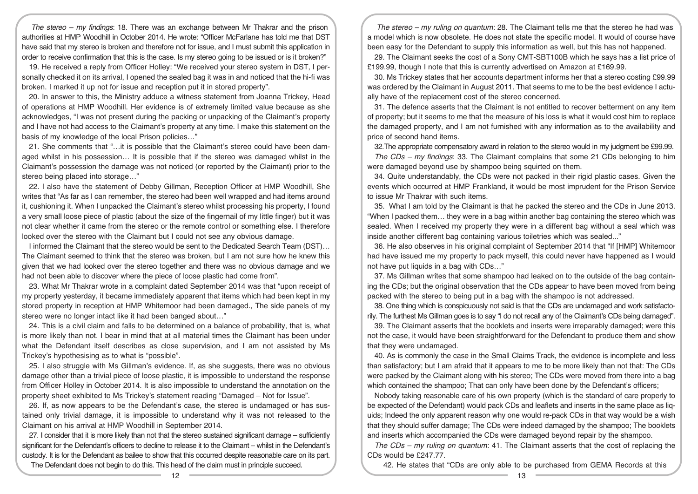*The stereo – my findings*: 18. There was an exchange between Mr Thakrar and the prison authorities at HMP Woodhill in October 2014. He wrote: "Officer McFarlane has told me that DST have said that my stereo is broken and therefore not for issue, and I must submit this application in order to receive confirmation that this is the case. Is my stereo going to be issued or is it broken?"

19. He received a reply from Officer Holley: "We received your stereo system in DST, I personally checked it on its arrival, I opened the sealed bag it was in and noticed that the hi-fi was broken. I marked it up not for issue and reception put it in stored property".

20. In answer to this, the Ministry adduce a witness statement from Joanna Trickey, Head of operations at HMP Woodhill. Her evidence is of extremely limited value because as she acknowledges, "I was not present during the packing or unpacking of the Claimant's property and I have not had access to the Claimant's property at any time. I make this statement on the basis of my knowledge of the local Prison policies…"

21. She comments that "…it is possible that the Claimant's stereo could have been damaged whilst in his possession… It is possible that if the stereo was damaged whilst in the Claimant's possession the damage was not noticed (or reported by the Claimant) prior to the stereo being placed into storage…"

22. I also have the statement of Debby Gillman, Reception Officer at HMP Woodhill, She writes that "As far as I can remember, the stereo had been well wrapped and had items around it, cushioning it. When I unpacked the Claimant's stereo whilst processing his property, I found a very small loose piece of plastic (about the size of the fingernail of my little finger) but it was not clear whether it came from the stereo or the remote control or something else. I therefore looked over the stereo with the Claimant but I could not see any obvious damage.

I informed the Claimant that the stereo would be sent to the Dedicated Search Team (DST)… The Claimant seemed to think that the stereo was broken, but I am not sure how he knew this given that we had looked over the stereo together and there was no obvious damage and we had not been able to discover where the piece of loose plastic had come from".

23. What Mr Thakrar wrote in a complaint dated September 2014 was that "upon receipt of my property yesterday, it became immediately apparent that items which had been kept in my stored property in reception at HMP Whitemoor had been damaged., The side panels of my stereo were no longer intact like it had been banged about…"

24. This is a civil claim and falls to be determined on a balance of probability, that is, what is more likely than not. I bear in mind that at all material times the Claimant has been under what the Defendant itself describes as close supervision, and I am not assisted by Ms Trickey's hypothesising as to what is "possible".

25. I also struggle with Ms Gillman's evidence. If, as she suggests, there was no obvious damage other than a trivial piece of loose plastic, it is impossible to understand the response from Officer Holley in October 2014. It is also impossible to understand the annotation on the property sheet exhibited to Ms Trickey's statement reading "Damaged – Not for Issue".

26. If, as now appears to be the Defendant's case, the stereo is undamaged or has sustained only trivial damage, it is impossible to understand why it was not released to the Claimant on his arrival at HMP Woodhill in September 2014.

27. I consider that it is more likely than not that the stereo sustained significant damage – sufficiently significant for the Defendant's officers to decline to release it to the Claimant – whilst in the Defendant's custody. It is for the Defendant as bailee to show that this occurred despite reasonable care on its part.

The Defendant does not begin to do this. This head of the claim must in principle succeed.

*The stereo – my ruling on quantum*: 28. The Claimant tells me that the stereo he had was a model which is now obsolete. He does not state the specific model. It would of course have been easy for the Defendant to supply this information as well, but this has not happened.

29. The Claimant seeks the cost of a Sony CMT-SBT100B which he says has a list price of £199.99, though I note that this is currently advertised on Amazon at £169.99.

30. Ms Trickey states that her accounts department informs her that a stereo costing £99.99 was ordered by the Claimant in August 2011. That seems to me to be the best evidence I actually have of the replacement cost of the stereo concerned.

31. The defence asserts that the Claimant is not entitled to recover betterment on any item of property; but it seems to me that the measure of his loss is what it would cost him to replace the damaged property, and I am not furnished with any information as to the availability and price of second hand items.

32.The appropriate compensatory award in relation to the stereo would in my judgment be £99.99. *The CDs – my findings*: 33. The Claimant complains that some 21 CDs belonging to him were damaged beyond use by shampoo being squirted on them.

34. Quite understandably, the CDs were not packed in their rigid plastic cases. Given the events which occurred at HMP Frankland, it would be most imprudent for the Prison Service to issue Mr Thakrar with such items.

35. What I am told by the Claimant is that he packed the stereo and the CDs in June 2013. "When I packed them… they were in a bag within another bag containing the stereo which was sealed. When I received my property they were in a different bag without a seal which was inside another different bag containing various toiletries which was sealed..."

36. He also observes in his original complaint of September 2014 that "If [HMP] Whitemoor had have issued me my property to pack myself, this could never have happened as I would not have put liquids in a bag with CDs…"

37. Ms Gillman writes that some shampoo had leaked on to the outside of the bag containing the CDs; but the original observation that the CDs appear to have been moved from being packed with the stereo to being put in a bag with the shampoo is not addressed.

38. One thing which is conspicuously not said is that the CDs are undamaged and work satisfactorily. The furthest Ms Gillman goes is to say "I do not recall any of the Claimant's CDs being damaged".

39. The Claimant asserts that the booklets and inserts were irreparably damaged; were this not the case, it would have been straightforward for the Defendant to produce them and show that they were undamaged.

40. As is commonly the case in the Small Claims Track, the evidence is incomplete and less than satisfactory; but I am afraid that it appears to me to be more likely than not that: The CDs were packed by the Claimant along with his stereo; The CDs were moved from there into a bag which contained the shampoo; That can only have been done by the Defendant's officers;

Nobody taking reasonable care of his own property (which is the standard of care properly to be expected of the Defendant) would pack CDs and leaflets and inserts in the same place as liquids; Indeed the only apparent reason why one would re-pack CDs in that way would be a wish that they should suffer damage; The CDs were indeed damaged by the shampoo; The booklets and inserts which accompanied the CDs were damaged beyond repair by the shampoo.

*The CDs – my ruling on quantum*: 41. The Claimant asserts that the cost of replacing the CDs would be £247.77.

42. He states that "CDs are only able to be purchased from GEMA Records at this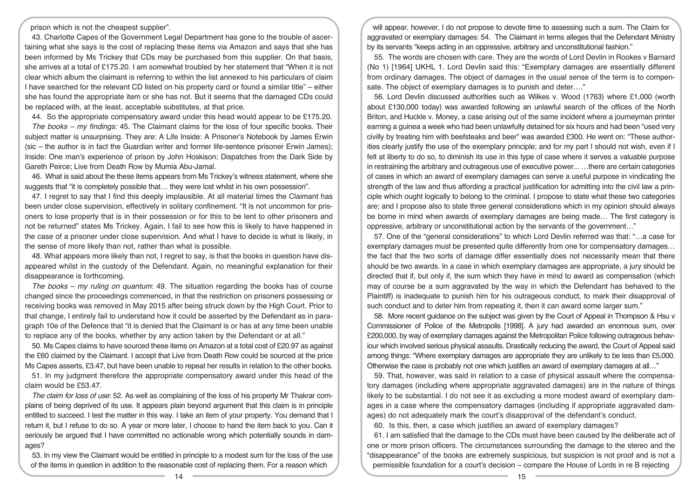prison which is not the cheapest supplier".

43. Charlotte Capes of the Government Legal Department has gone to the trouble of ascertaining what she says is the cost of replacing these items via Amazon and says that she has been informed by Ms Trickey that CDs may be purchased from this supplier. On that basis, she arrives at a total of £175.20. I am somewhat troubled by her statement that "When it is not clear which album the claimant is referring to within the list annexed to his particulars of claim I have searched for the relevant CD listed on his property card or found a similar title" – either she has found the appropriate item or she has not. But it seems that the damaged CDs could be replaced with, at the least, acceptable substitutes, at that price.

44. So the appropriate compensatory award under this head would appear to be £175.20.

*The books – my findings:* 45. The Claimant claims for the loss of four specific books. Their subject matter is unsurprising. They are: A Life Inside: A Prisoner's Notebook by James Erwin (sic – the author is in fact the Guardian writer and former life-sentence prisoner Erwin James); Inside: One man's experience of prison by John Hoskison; Dispatches from the Dark Side by Gareth Peirce; Live from Death Row by Mumia Abu-Jamal.

46. What is said about the these items appears from Ms Trickey's witness statement, where she suggests that "it is completely possible that… they were lost whilst in his own possession".

47. I regret to say that I find this deeply implausible. At all material times the Claimant has been under close supervision, effectively in solitary confinement. "It is not uncommon for prisoners to lose property that is in their possession or for this to be lent to other prisoners and not be returned" states Ms Trickey. Again, I fail to see how this is likely to have happened in the case of a prisoner under close supervision. And what I have to decide is what is likely, in the sense of more likely than not, rather than what is possible.

48. What appears more likely than not, I regret to say, is that the books in question have disappeared whilst in the custody of the Defendant. Again, no meaningful explanation for their disappearance is forthcoming.

*The books – my ruling on quantum*: 49. The situation regarding the books has of course changed since the proceedings commenced, in that the restriction on prisoners possessing or receiving books was removed in May 2015 after being struck down by the High Court. Prior to that change, I entirely fail to understand how it could be asserted by the Defendant as in paragraph 10e of the Defence that "it is denied that the Claimant is or has at any time been unable to replace any of the books, whether by any action taken by the Defendant or at all."

50. Ms Capes claims to have sourced these items on Amazon at a total cost of £20.97 as against the £60 claimed by the Claimant. I accept that Live from Death Row could be sourced at the price Ms Capes asserts, £3.47, but have been unable to repeat her results in relation to the other books.

51. In my judgment therefore the appropriate compensatory award under this head of the claim would be £53.47.

*The claim for loss of use*: 52. As well as complaining of the loss of his property Mr Thakrar complains of being deprived of its use. It appears plain beyond argument that this claim is in principle entitled to succeed. I test the matter in this way. I take an item of your property. You demand that I return it, but I refuse to do so. A year or more later, I choose to hand the item back to you. Can it seriously be argued that I have committed no actionable wrong which potentially sounds in damages?

53. In my view the Claimant would be entitled in principle to a modest sum for the loss of the use of the items in question in addition to the reasonable cost of replacing them. For a reason which

will appear, however, I do not propose to devote time to assessing such a sum. The Claim for aggravated or exemplary damages: 54. The Claimant in terms alleges that the Defendant Ministry by its servants "keeps acting in an oppressive, arbitrary and unconstitutional fashion."

55. The words are chosen with care. They are the words of Lord Devlin in Rookes v Barnard (No 1) [1964] UKHL 1. Lord Devlin said this: "Exemplary damages are essentially different from ordinary damages. The object of damages in the usual sense of the term is to compensate. The object of exemplary damages is to punish and deter…."

56. Lord Devlin discussed authorities such as Wilkes v. Wood (1763) where £1,000 (worth about £130,000 today) was awarded following an unlawful search of the offices of the North Briton, and Huckle v. Money, a case arising out of the same incident where a journeyman printer earning a guinea a week who had been unlawfully detained for six hours and had been "used very civilly by treating him with beefsteaks and beer" was awarded £300. He went on: "These authorities clearly justify the use of the exemplary principle; and for my part I should not wish, even if I felt at liberty to do so, to diminish its use in this type of case where it serves a valuable purpose in restraining the arbitrary and outrageous use of executive power... …there are certain categories of cases in which an award of exemplary damages can serve a useful purpose in vindicating the strength of the law and thus affording a practical justification for admitting into the civil law a principle which ought logically to belong to the criminal. I propose to state what these two categories are; and I propose also to state three general considerations which in my opinion should always be borne in mind when awards of exemplary damages are being made… The first category is oppressive, arbitrary or unconstitutional action by the servants of the government…"

57. One of the "general considerations" to which Lord Devlin referred was that: "…a case for exemplary damages must be presented quite differently from one for compensatory damages… the fact that the two sorts of damage differ essentially does not necessarily mean that there should be two awards. In a case in which exemplary damages are appropriate, a jury should be directed that if, but only if, the sum which they have in mind to award as compensation (which may of course be a sum aggravated by the way in which the Defendant has behaved to the Plaintiff) is inadequate to punish him for his outrageous conduct, to mark their disapproval of such conduct and to deter him from repeating it, then it can award some larger sum."

58. More recent guidance on the subject was given by the Court of Appeal in Thompson & Hsu v Commissioner of Police of the Metropolis [1998]. A jury had awarded an enormous sum, over £200,000, by way of exemplary damages against the Metropolitan Police following outrageous behaviour which involved serious physical assaults. Drastically reducing the award, the Court of Appeal said among things: "Where exemplary damages are appropriate they are unlikely to be less than £5,000. Otherwise the case is probably not one which justifies an award of exemplary damages at all…"

59. That, however, was said in relation to a case of physical assault where the compensatory damages (including where appropriate aggravated damages) are in the nature of things likely to be substantial. I do not see it as excluding a more modest award of exemplary damages in a case where the compensatory damages (including if appropriate aggravated damages) do not adequately mark the court's disapproval of the defendant's conduct.

60. Is this, then, a case which justifies an award of exemplary damages?

61. I am satisfied that the damage to the CDs must have been caused by the deliberate act of one or more prison officers. The circumstances surrounding the damage to the stereo and the "disappearance" of the books are extremely suspicious, but suspicion is not proof and is not a permissible foundation for a court's decision – compare the House of Lords in re B rejecting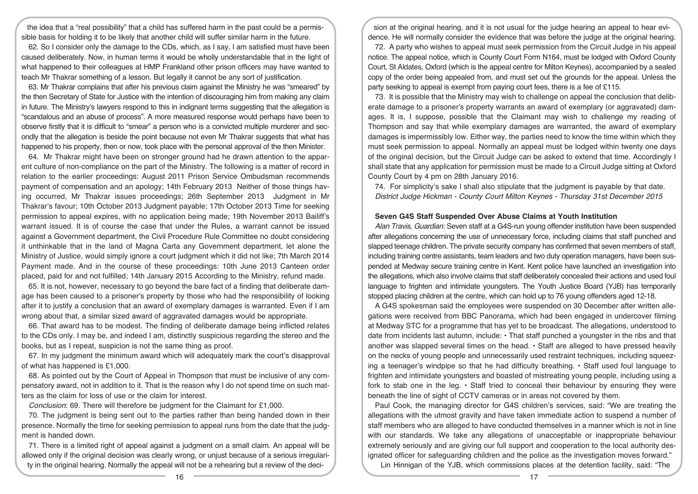the idea that a "real possibility" that a child has suffered harm in the past could be a permissible basis for holding it to be likely that another child will suffer similar harm in the future.

62. So I consider only the damage to the CDs, which, as I say, I am satisfied must have been caused deliberately. Now, in human terms it would be wholly understandable that in the light of what happened to their colleagues at HMP Frankland other prison officers may have wanted to teach Mr Thakrar something of a lesson. But legally it cannot be any sort of justification.

63. Mr Thakrar complains that after his previous claim against the Ministry he was "smeared" by the then Secretary of State for Justice with the intention of discouraging him from making any claim in future. The Ministry's lawyers respond to this in indignant terms suggesting that the allegation is "scandalous and an abuse of process". A more measured response would perhaps have been to observe firstly that it is difficult to "smear" a person who is a convicted multiple murderer and secondly that the allegation is beside the point because not even Mr Thakrar suggests that what has happened to his property, then or now, took place with the personal approval of the then Minister.

64. Mr Thakrar might have been on stronger ground had he drawn attention to the apparent culture of non-compliance on the part of the Ministry. The following is a matter of record in relation to the earlier proceedings: August 2011 Prison Service Ombudsman recommends payment of compensation and an apology; 14th February 2013 Neither of those things having occurred, Mr Thakrar issues proceedings; 26th September 2013 Judgment in Mr Thakrar's favour; 10th October 2013 Judgment payable; 17th October 2013 Time for seeking permission to appeal expires, with no application being made; 19th November 2013 Bailiff's warrant issued. It is of course the case that under the Rules, a warrant cannot be issued against a Government department, the Civil Procedure Rule Committee no doubt considering it unthinkable that in the land of Magna Carta any Government department, let alone the Ministry of Justice, would simply ignore a court judgment which it did not like; 7th March 2014 Payment made. And in the course of these proceedings: 10th June 2013 Canteen order placed, paid for and not fulfilled; 14th January 2015 According to the Ministry, refund made.

65. It is not, however, necessary to go beyond the bare fact of a finding that deliberate damage has been caused to a prisoner's property by those who had the responsibility of looking after it to justify a conclusion that an award of exemplary damages is warranted. Even if I am wrong about that, a similar sized award of aggravated damages would be appropriate.

66. That award has to be modest. The finding of deliberate damage being inflicted relates to the CDs only. I may be, and indeed I am, distinctly suspicious regarding the stereo and the books, but as I repeat, suspicion is not the same thing as proof.

67. In my judgment the minimum award which will adequately mark the court's disapproval of what has happened is £1,000.

68. As pointed out by the Court of Appeal in Thompson that must be inclusive of any compensatory award, not in addition to it. That is the reason why I do not spend time on such matters as the claim for loss of use or the claim for interest.

*Conclusion*: 69. There will therefore be judgment for the Claimant for £1,000.

70. The judgment is being sent out to the parties rather than being handed down in their presence. Normally the time for seeking permission to appeal runs from the date that the judgment is handed down.

71. There is a limited right of appeal against a judgment on a small claim. An appeal will be allowed only if the original decision was clearly wrong, or unjust because of a serious irregularity in the original hearing. Normally the appeal will not be a rehearing but a review of the deci-

sion at the original hearing, and it is not usual for the judge hearing an appeal to hear evidence. He will normally consider the evidence that was before the judge at the original hearing.

72. A party who wishes to appeal must seek permission from the Circuit Judge in his appeal notice. The appeal notice, which is County Court Form N164, must be lodged with Oxford County Court, St Aldates, Oxford (which is the appeal centre for Milton Keynes), accompanied by a sealed copy of the order being appealed from, and must set out the grounds for the appeal. Unless the party seeking to appeal is exempt from paying court fees, there is a fee of £115.

73. It is possible that the Ministry may wish to challenge on appeal the conclusion that deliberate damage to a prisoner's property warrants an award of exemplary (or aggravated) damages. It is, I suppose, possible that the Claimant may wish to challenge my reading of Thompson and say that while exemplary damages are warranted, the award of exemplary damages is impermissibly low. Either way, the parties need to know the time within which they must seek permission to appeal. Normally an appeal must be lodged within twenty one days of the original decision, but the Circuit Judge can be asked to extend that time. Accordingly I shall state that any application for permission must be made to a Circuit Judge sitting at Oxford County Court by 4 pm on 28th January 2016.

74. For simplicity's sake I shall also stipulate that the judgment is payable by that date. *District Judge Hickman - County Court Milton Keynes - Thursday 31st December 2015*

# **Seven G4S Staff Suspended Over Abuse Claims at Youth Institution**

*Alan Travis, Guardian:* Seven staff at a G4S-run young offender institution have been suspended after allegations concerning the use of unnecessary force, including claims that staff punched and slapped teenage children. The private security company has confirmed that seven members of staff, including training centre assistants, team leaders and two duty operation managers, have been suspended at Medway secure training centre in Kent. Kent police have launched an investigation into the allegations, which also involve claims that staff deliberately concealed their actions and used foul language to frighten and intimidate youngsters. The Youth Justice Board (YJB) has temporarily stopped placing children at the centre, which can hold up to 76 young offenders aged 12-18.

A G4S spokesman said the employees were suspended on 30 December after written allegations were received from BBC Panorama, which had been engaged in undercover filming at Medway STC for a programme that has yet to be broadcast. The allegations, understood to date from incidents last autumn, include: • That staff punched a youngster in the ribs and that another was slapped several times on the head. • Staff are alleged to have pressed heavily on the necks of young people and unnecessarily used restraint techniques, including squeezing a teenager's windpipe so that he had difficulty breathing. • Staff used foul language to frighten and intimidate youngsters and boasted of mistreating young people, including using a fork to stab one in the leg. • Staff tried to conceal their behaviour by ensuring they were beneath the line of sight of CCTV cameras or in areas not covered by them.

Paul Cook, the managing director for G4S children's services, said: "We are treating the allegations with the utmost gravity and have taken immediate action to suspend a number of staff members who are alleged to have conducted themselves in a manner which is not in line with our standards. We take any allegations of unacceptable or inappropriate behaviour extremely seriously and are giving our full support and cooperation to the local authority designated officer for safeguarding children and the police as the investigation moves forward." Lin Hinnigan of the YJB, which commissions places at the detention facility, said: "The